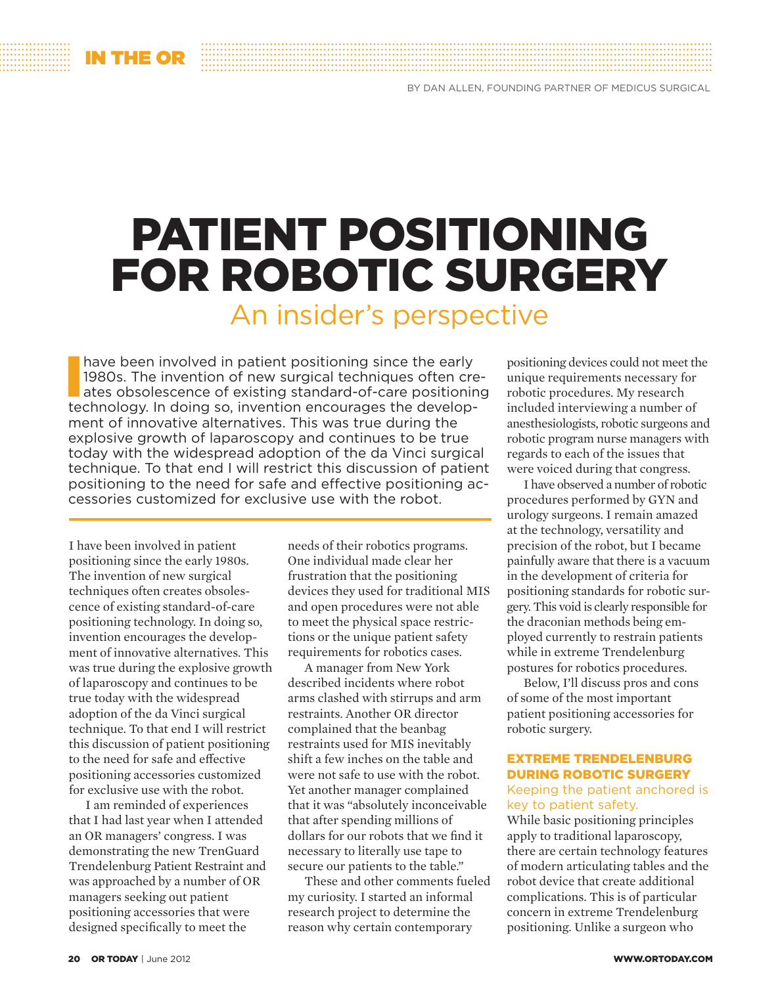# Patient Positioning FOR ROBOTIC SURGERY An insider's perspective

have been involved in patient positioning since the early 1980s. The invention of new surgical techniques often creates obsolescence of existing standard-of-care positioning technology. In doing so, invention encourages th have been involved in patient positioning since the early 1980s. The invention of new surgical techniques often creates obsolescence of existing standard-of-care positioning ment of innovative alternatives. This was true during the explosive growth of laparoscopy and continues to be true today with the widespread adoption of the da Vinci surgical technique. To that end I will restrict this discussion of patient positioning to the need for safe and effective positioning accessories customized for exclusive use with the robot.

I have been involved in patient positioning since the early 1980s. The invention of new surgical techniques often creates obsolescence of existing standard-of-care positioning technology. In doing so, invention encourages the development of innovative alternatives. This was true during the explosive growth of laparoscopy and continues to be true today with the widespread adoption of the da Vinci surgical technique. To that end I will restrict this discussion of patient positioning to the need for safe and effective positioning accessories customized for exclusive use with the robot.

I am reminded of experiences that I had last year when I attended an OR managers' congress. I was demonstrating the new TrenGuard Trendelenburg Patient Restraint and was approached by a number of OR managers seeking out patient positioning accessories that were designed specifically to meet the

needs of their robotics programs. One individual made clear her frustration that the positioning devices they used for traditional MIS and open procedures were not able to meet the physical space restrictions or the unique patient safety requirements for robotics cases.

A manager from New York described incidents where robot arms clashed with stirrups and arm restraints. Another OR director complained that the beanbag restraints used for MIS inevitably shift a few inches on the table and were not safe to use with the robot. Yet another manager complained that it was "absolutely inconceivable that after spending millions of dollars for our robots that we find it necessary to literally use tape to secure our patients to the table."

These and other comments fueled my curiosity. I started an informal research project to determine the reason why certain contemporary

positioning devices could not meet the unique requirements necessary for robotic procedures. My research included interviewing a number of anesthesiologists, robotic surgeons and robotic program nurse managers with regards to each of the issues that were voiced during that congress.

I have observed a number of robotic procedures performed by GYN and urology surgeons. I remain amazed at the technology, versatility and precision of the robot, but I became painfully aware that there is a vacuum in the development of criteria for positioning standards for robotic surgery. This void is clearly responsible for the draconian methods being employed currently to restrain patients while in extreme Trendelenburg postures for robotics procedures.

Below, I'll discuss pros and cons of some of the most important patient positioning accessories for robotic surgery.

## Extreme Trendelenburg during robotic surgery

#### Keeping the patient anchored is key to patient safety.

While basic positioning principles apply to traditional laparoscopy, there are certain technology features of modern articulating tables and the robot device that create additional complications. This is of particular concern in extreme Trendelenburg positioning. Unlike a surgeon who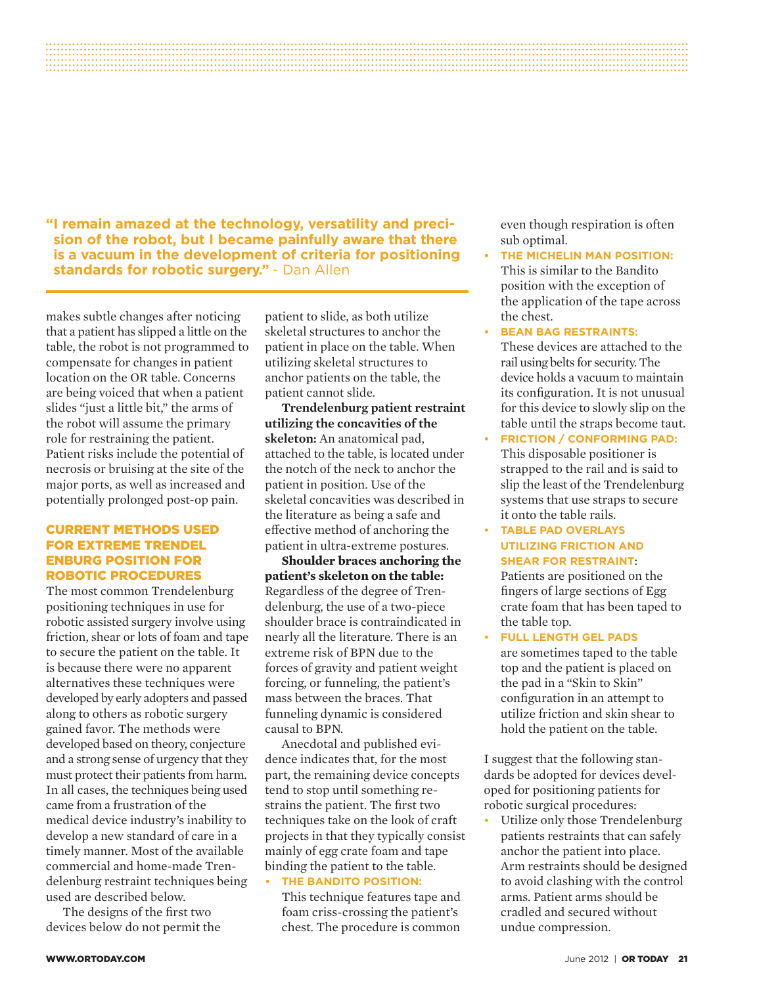**"I remain amazed at the technology, versatility and precision of the robot, but I became painfully aware that there is a vacuum in the development of criteria for positioning standards for robotic surgery."** - Dan Allen

makes subtle changes after noticing that a patient has slipped a little on the table, the robot is not programmed to compensate for changes in patient location on the OR table. Concerns are being voiced that when a patient slides "just a little bit," the arms of the robot will assume the primary role for restraining the patient. Patient risks include the potential of necrosis or bruising at the site of the major ports, as well as increased and potentially prolonged post-op pain.

#### Current methods used for extreme Trendel enburg position for robotic procedures

The most common Trendelenburg positioning techniques in use for robotic assisted surgery involve using friction, shear or lots of foam and tape to secure the patient on the table. It is because there were no apparent alternatives these techniques were developed by early adopters and passed along to others as robotic surgery gained favor. The methods were developed based on theory, conjecture and a strong sense of urgency that they must protect their patients from harm. In all cases, the techniques being used came from a frustration of the medical device industry's inability to develop a new standard of care in a timely manner. Most of the available commercial and home-made Trendelenburg restraint techniques being used are described below.

The designs of the first two devices below do not permit the patient to slide, as both utilize skeletal structures to anchor the patient in place on the table. When utilizing skeletal structures to anchor patients on the table, the patient cannot slide.

**Trendelenburg patient restraint utilizing the concavities of the skeleton:** An anatomical pad, attached to the table, is located under the notch of the neck to anchor the patient in position. Use of the skeletal concavities was described in the literature as being a safe and effective method of anchoring the patient in ultra-extreme postures.

**Shoulder braces anchoring the patient's skeleton on the table:** Regardless of the degree of Trendelenburg, the use of a two-piece shoulder brace is contraindicated in nearly all the literature. There is an extreme risk of BPN due to the forces of gravity and patient weight forcing, or funneling, the patient's mass between the braces. That funneling dynamic is considered causal to BPN.

Anecdotal and published evidence indicates that, for the most part, the remaining device concepts tend to stop until something restrains the patient. The first two techniques take on the look of craft projects in that they typically consist mainly of egg crate foam and tape binding the patient to the table.

## **FHE BANDITO POSITION:**

This technique features tape and foam criss-crossing the patient's chest. The procedure is common

even though respiration is often sub optimal.

- **FHE MICHELIN MAN POSITION:** This is similar to the Bandito position with the exception of the application of the tape across the chest.
- **BEAN BAG RESTRAINTS:** These devices are attached to the rail using belts for security. The device holds a vacuum to maintain its configuration. It is not unusual for this device to slowly slip on the table until the straps become taut.
- **FRICTION / CONFORMING PAD:** This disposable positioner is strapped to the rail and is said to slip the least of the Trendelenburg systems that use straps to secure it onto the table rails.
- **FABLE PAD OVERLAYS utilizing friction and shear for restraint**:

Patients are positioned on the fingers of large sections of Egg crate foam that has been taped to the table top.

**• Full length gel pads** are sometimes taped to the table top and the patient is placed on the pad in a "Skin to Skin" configuration in an attempt to utilize friction and skin shear to hold the patient on the table.

I suggest that the following standards be adopted for devices developed for positioning patients for robotic surgical procedures:

**•** Utilize only those Trendelenburg patients restraints that can safely anchor the patient into place. Arm restraints should be designed to avoid clashing with the control arms. Patient arms should be cradled and secured without undue compression.